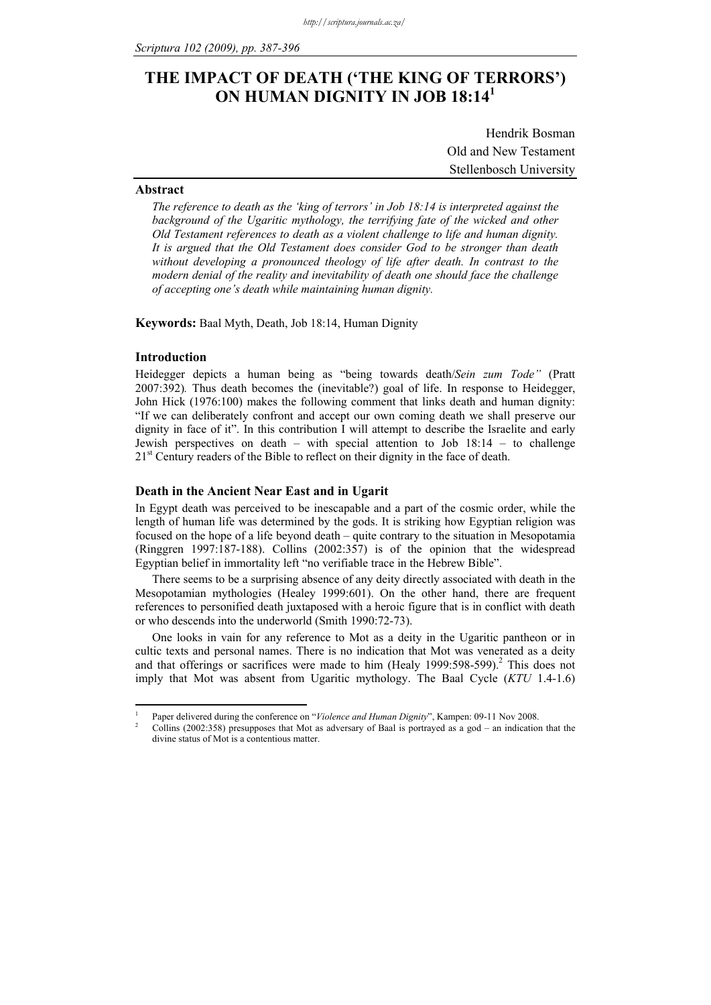# **THE IMPACT OF DEATH ('THE KING OF TERRORS') ON HUMAN DIGNITY IN JOB 18:14<sup>1</sup>**

Hendrik Bosman Old and New Testament Stellenbosch University

## **Abstract**

*The reference to death as the 'king of terrors' in Job 18:14 is interpreted against the background of the Ugaritic mythology, the terrifying fate of the wicked and other Old Testament references to death as a violent challenge to life and human dignity. It is argued that the Old Testament does consider God to be stronger than death without developing a pronounced theology of life after death. In contrast to the modern denial of the reality and inevitability of death one should face the challenge of accepting one's death while maintaining human dignity.* 

**Keywords:** Baal Myth, Death, Job 18:14, Human Dignity

#### **Introduction**

1

Heidegger depicts a human being as "being towards death/*Sein zum Tode"* (Pratt 2007:392)*.* Thus death becomes the (inevitable?) goal of life. In response to Heidegger, John Hick (1976:100) makes the following comment that links death and human dignity: "If we can deliberately confront and accept our own coming death we shall preserve our dignity in face of it". In this contribution I will attempt to describe the Israelite and early Jewish perspectives on death – with special attention to Job 18:14 – to challenge 21<sup>st</sup> Century readers of the Bible to reflect on their dignity in the face of death.

#### **Death in the Ancient Near East and in Ugarit**

In Egypt death was perceived to be inescapable and a part of the cosmic order, while the length of human life was determined by the gods. It is striking how Egyptian religion was focused on the hope of a life beyond death – quite contrary to the situation in Mesopotamia (Ringgren 1997:187-188). Collins (2002:357) is of the opinion that the widespread Egyptian belief in immortality left "no verifiable trace in the Hebrew Bible".

There seems to be a surprising absence of any deity directly associated with death in the Mesopotamian mythologies (Healey 1999:601). On the other hand, there are frequent references to personified death juxtaposed with a heroic figure that is in conflict with death or who descends into the underworld (Smith 1990:72-73).

One looks in vain for any reference to Mot as a deity in the Ugaritic pantheon or in cultic texts and personal names. There is no indication that Mot was venerated as a deity and that offerings or sacrifices were made to him (Healy 1999:598-599).<sup>2</sup> This does not imply that Mot was absent from Ugaritic mythology. The Baal Cycle (*KTU* 1.4-1.6)

<sup>1</sup> Paper delivered during the conference on "*Violence and Human Dignity*", Kampen: 09-11 Nov 2008.

Collins (2002:358) presupposes that Mot as adversary of Baal is portrayed as a god – an indication that the divine status of Mot is a contentious matter.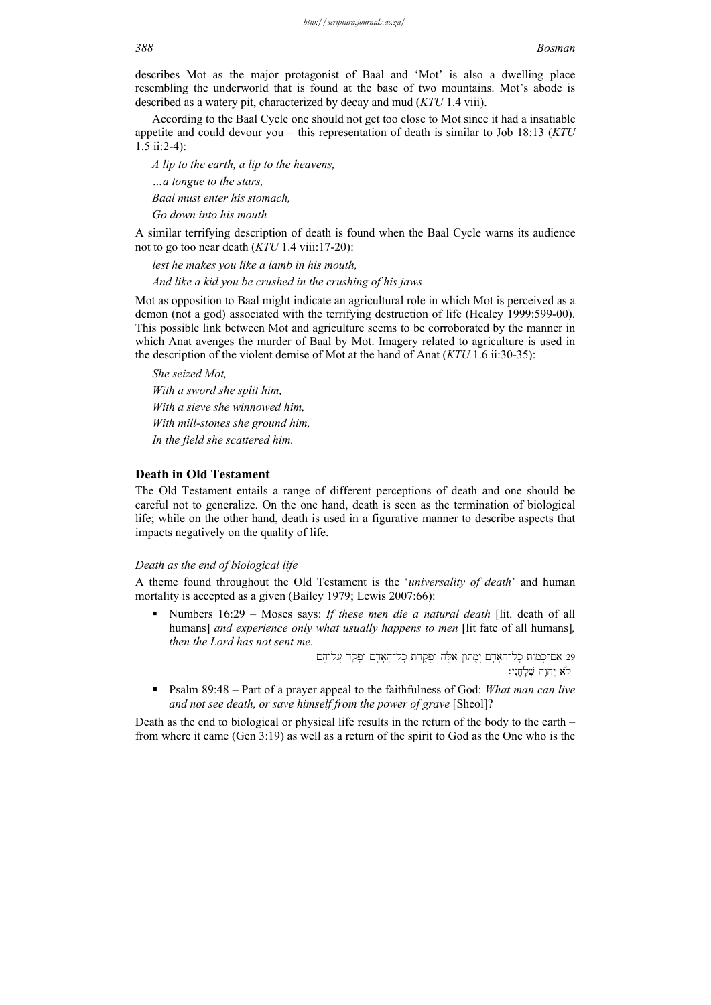describes Mot as the major protagonist of Baal and 'Mot' is also a dwelling place resembling the underworld that is found at the base of two mountains. Mot's abode is described as a watery pit, characterized by decay and mud (*KTU* 1.4 viii).

According to the Baal Cycle one should not get too close to Mot since it had a insatiable appetite and could devour you – this representation of death is similar to Job 18:13 (*KTU* 1.5 ii:2-4):

*A lip to the earth, a lip to the heavens,* 

*…a tongue to the stars,* 

*Baal must enter his stomach,* 

*Go down into his mouth* 

A similar terrifying description of death is found when the Baal Cycle warns its audience not to go too near death (*KTU* 1.4 viii:17-20):

*lest he makes you like a lamb in his mouth, And like a kid you be crushed in the crushing of his jaws* 

Mot as opposition to Baal might indicate an agricultural role in which Mot is perceived as a demon (not a god) associated with the terrifying destruction of life (Healey 1999:599-00). This possible link between Mot and agriculture seems to be corroborated by the manner in which Anat avenges the murder of Baal by Mot. Imagery related to agriculture is used in the description of the violent demise of Mot at the hand of Anat (*KTU* 1.6 ii:30-35):

*She seized Mot, With a sword she split him, With a sieve she winnowed him, With mill-stones she ground him, In the field she scattered him.* 

#### **Death in Old Testament**

The Old Testament entails a range of different perceptions of death and one should be careful not to generalize. On the one hand, death is seen as the termination of biological life; while on the other hand, death is used in a figurative manner to describe aspects that impacts negatively on the quality of life.

#### *Death as the end of biological life*

A theme found throughout the Old Testament is the '*universality of death*' and human mortality is accepted as a given (Bailey 1979; Lewis 2007:66):

 Numbers 16:29 – Moses says: *If these men die a natural death* [lit. death of all humans] *and experience only what usually happens to men* [lit fate of all humans], *then the Lord has not sent me.*

וּפְקַדָּת בְּלוּדָאָדָם יִמְתוּן אֵלֶה וּפְקָדֵּת כָּלוּדָאָדָם יִפְּקַד עֲלֵיהֶם  $\,$ 

יהוָה שָׁלְחֶנִי:  $\forall$ 

 Psalm 89:48 – Part of a prayer appeal to the faithfulness of God: *What man can live and not see death, or save himself from the power of grave* [Sheol]?

Death as the end to biological or physical life results in the return of the body to the earth – from where it came (Gen 3:19) as well as a return of the spirit to God as the One who is the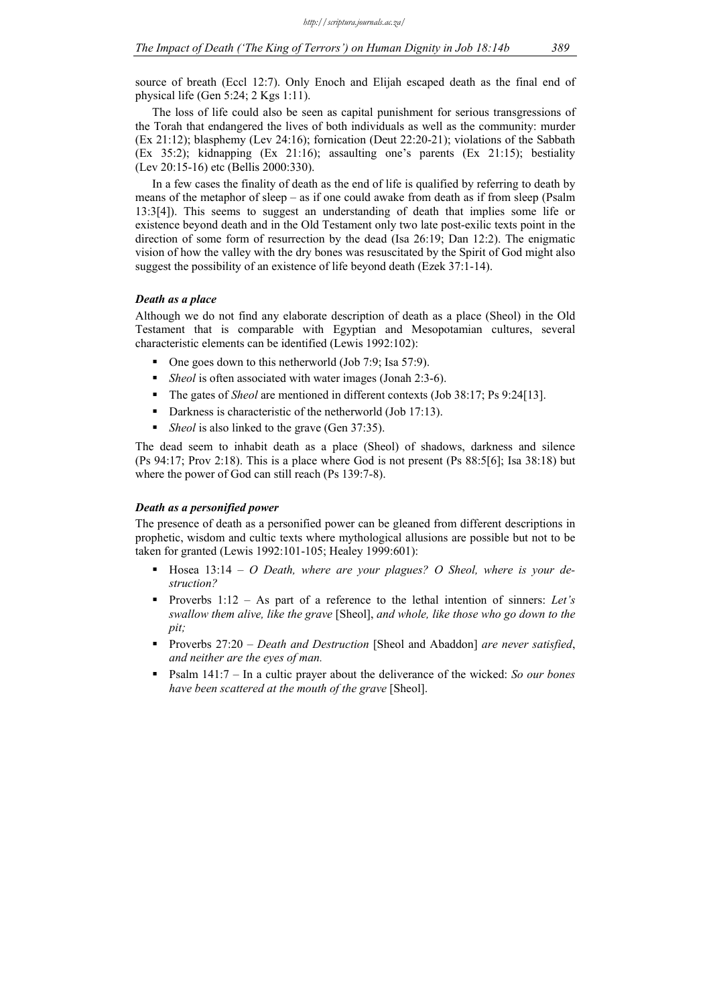source of breath (Eccl 12:7). Only Enoch and Elijah escaped death as the final end of physical life (Gen 5:24; 2 Kgs 1:11).

The loss of life could also be seen as capital punishment for serious transgressions of the Torah that endangered the lives of both individuals as well as the community: murder (Ex 21:12); blasphemy (Lev 24:16); fornication (Deut 22:20-21); violations of the Sabbath (Ex 35:2); kidnapping (Ex 21:16); assaulting one's parents (Ex 21:15); bestiality (Lev 20:15-16) etc (Bellis 2000:330).

In a few cases the finality of death as the end of life is qualified by referring to death by means of the metaphor of sleep – as if one could awake from death as if from sleep (Psalm 13:3[4]). This seems to suggest an understanding of death that implies some life or existence beyond death and in the Old Testament only two late post-exilic texts point in the direction of some form of resurrection by the dead (Isa 26:19; Dan 12:2). The enigmatic vision of how the valley with the dry bones was resuscitated by the Spirit of God might also suggest the possibility of an existence of life beyond death (Ezek 37:1-14).

#### *Death as a place*

Although we do not find any elaborate description of death as a place (Sheol) in the Old Testament that is comparable with Egyptian and Mesopotamian cultures, several characteristic elements can be identified (Lewis 1992:102):

- One goes down to this netherworld (Job 7:9; Isa 57:9).
- *Sheol* is often associated with water images (Jonah 2:3-6).
- The gates of *Sheol* are mentioned in different contexts (Job 38:17; Ps 9:24[13].
- Darkness is characteristic of the netherworld (Job 17:13).
- *Sheol* is also linked to the grave (Gen 37:35).

The dead seem to inhabit death as a place (Sheol) of shadows, darkness and silence (Ps 94:17; Prov 2:18). This is a place where God is not present (Ps 88:5[6]; Isa 38:18) but where the power of God can still reach (Ps 139:7-8).

#### *Death as a personified power*

The presence of death as a personified power can be gleaned from different descriptions in prophetic, wisdom and cultic texts where mythological allusions are possible but not to be taken for granted (Lewis 1992:101-105; Healey 1999:601):

- **Hosea** 13:14 *O Death, where are your plagues? O Sheol, where is your destruction?*
- Proverbs 1:12 As part of a reference to the lethal intention of sinners: *Let's swallow them alive, like the grave* [Sheol], *and whole, like those who go down to the pit;*
- Proverbs 27:20 *Death and Destruction* [Sheol and Abaddon] *are never satisfied*, *and neither are the eyes of man.*
- Psalm 141:7 In a cultic prayer about the deliverance of the wicked: *So our bones have been scattered at the mouth of the grave* [Sheol].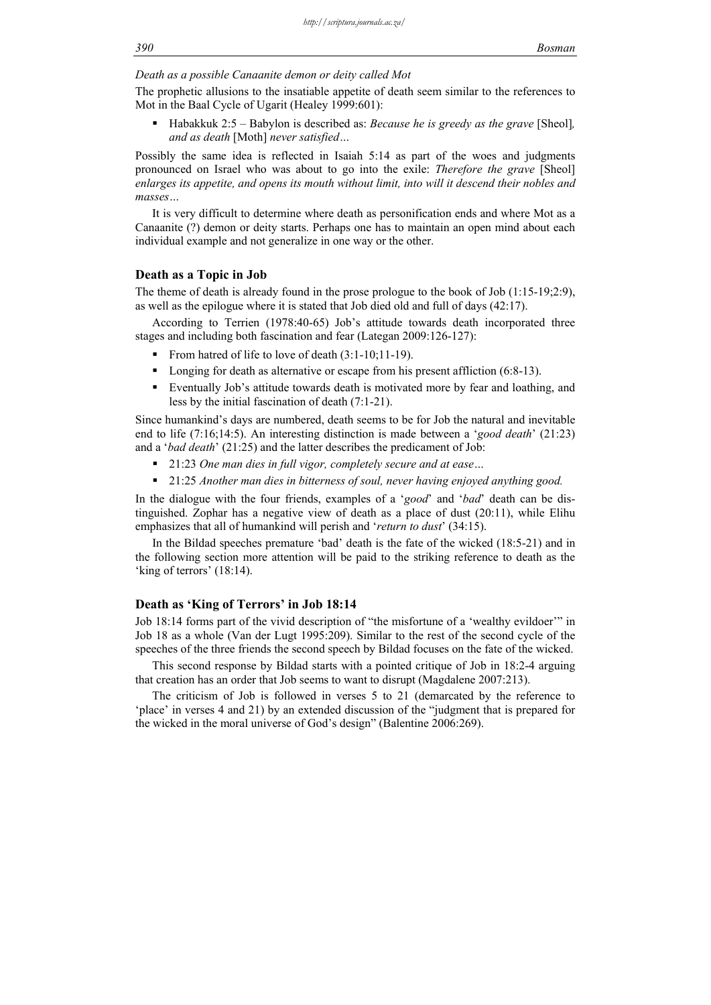## *Death as a possible Canaanite demon or deity called Mot*

The prophetic allusions to the insatiable appetite of death seem similar to the references to Mot in the Baal Cycle of Ugarit (Healey 1999:601):

■ Habakkuk 2:5 – Babylon is described as: *Because he is greedy as the grave* [Sheol]*, and as death* [Moth] *never satisfied…*

Possibly the same idea is reflected in Isaiah 5:14 as part of the woes and judgments pronounced on Israel who was about to go into the exile: *Therefore the grave* [Sheol] *enlarges its appetite, and opens its mouth without limit, into will it descend their nobles and masses…*

It is very difficult to determine where death as personification ends and where Mot as a Canaanite (?) demon or deity starts. Perhaps one has to maintain an open mind about each individual example and not generalize in one way or the other.

#### **Death as a Topic in Job**

The theme of death is already found in the prose prologue to the book of Job (1:15-19;2:9), as well as the epilogue where it is stated that Job died old and full of days (42:17).

According to Terrien (1978:40-65) Job's attitude towards death incorporated three stages and including both fascination and fear (Lategan 2009:126-127):

- From hatred of life to love of death  $(3:1-10;11-19)$ .
- Longing for death as alternative or escape from his present affliction (6:8-13).
- Eventually Job's attitude towards death is motivated more by fear and loathing, and less by the initial fascination of death (7:1-21).

Since humankind's days are numbered, death seems to be for Job the natural and inevitable end to life (7:16;14:5). An interesting distinction is made between a '*good death*' (21:23) and a '*bad death*' (21:25) and the latter describes the predicament of Job:

- 21:23 *One man dies in full vigor, completely secure and at ease…*
- 21:25 *Another man dies in bitterness of soul, never having enjoyed anything good.*

In the dialogue with the four friends, examples of a '*good*' and '*bad*' death can be distinguished. Zophar has a negative view of death as a place of dust (20:11), while Elihu emphasizes that all of humankind will perish and '*return to dust*' (34:15).

In the Bildad speeches premature 'bad' death is the fate of the wicked (18:5-21) and in the following section more attention will be paid to the striking reference to death as the 'king of terrors' (18:14).

## **Death as 'King of Terrors' in Job 18:14**

Job 18:14 forms part of the vivid description of "the misfortune of a 'wealthy evildoer'" in Job 18 as a whole (Van der Lugt 1995:209). Similar to the rest of the second cycle of the speeches of the three friends the second speech by Bildad focuses on the fate of the wicked.

This second response by Bildad starts with a pointed critique of Job in 18:2-4 arguing that creation has an order that Job seems to want to disrupt (Magdalene 2007:213).

The criticism of Job is followed in verses 5 to 21 (demarcated by the reference to 'place' in verses 4 and 21) by an extended discussion of the "judgment that is prepared for the wicked in the moral universe of God's design" (Balentine 2006:269).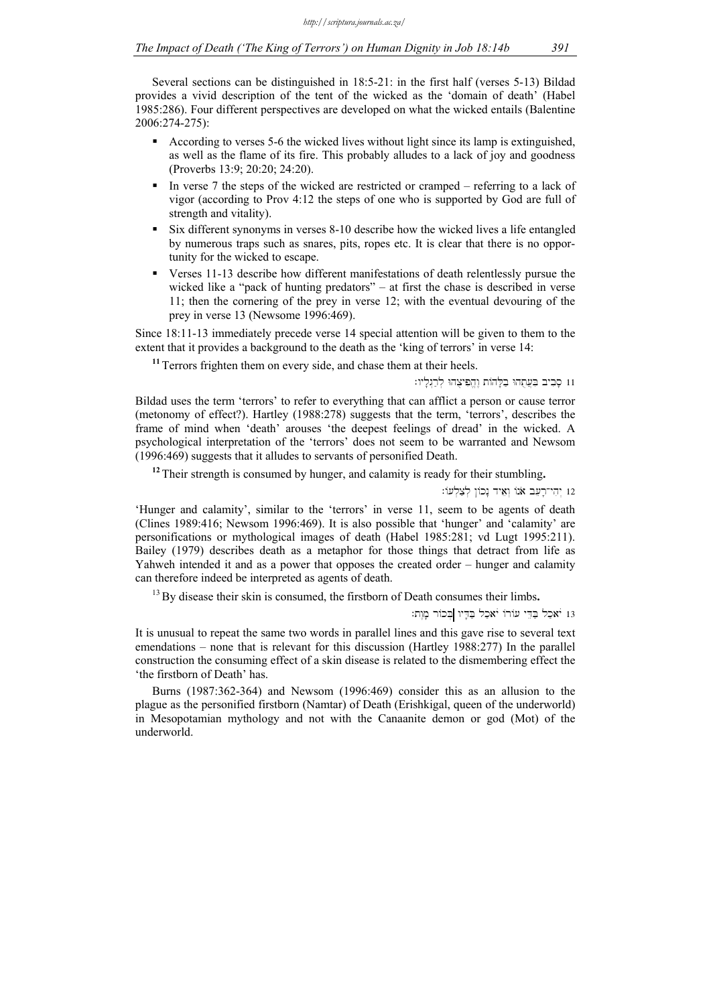Several sections can be distinguished in 18:5-21: in the first half (verses 5-13) Bildad provides a vivid description of the tent of the wicked as the 'domain of death' (Habel 1985:286). Four different perspectives are developed on what the wicked entails (Balentine 2006:274-275):

- According to verses 5-6 the wicked lives without light since its lamp is extinguished, as well as the flame of its fire. This probably alludes to a lack of joy and goodness (Proverbs 13:9; 20:20; 24:20).
- In verse 7 the steps of the wicked are restricted or cramped referring to a lack of vigor (according to Prov 4:12 the steps of one who is supported by God are full of strength and vitality).
- Six different synonyms in verses 8-10 describe how the wicked lives a life entangled by numerous traps such as snares, pits, ropes etc. It is clear that there is no opportunity for the wicked to escape.
- Verses 11-13 describe how different manifestations of death relentlessly pursue the wicked like a "pack of hunting predators" – at first the chase is described in verse 11; then the cornering of the prey in verse 12; with the eventual devouring of the prey in verse 13 (Newsome 1996:469).

Since 18:11-13 immediately precede verse 14 special attention will be given to them to the extent that it provides a background to the death as the 'king of terrors' in verse 14:

**<sup>11</sup>**Terrors frighten them on every side, and chase them at their heels.

11 סַבִיב בִּעֲתָהוּ בַלַּהוֹת וֶהֱפִיצָהוּ לְרַגְלַיו:

Bildad uses the term 'terrors' to refer to everything that can afflict a person or cause terror (metonomy of effect?). Hartley (1988:278) suggests that the term, 'terrors', describes the frame of mind when 'death' arouses 'the deepest feelings of dread' in the wicked. A psychological interpretation of the 'terrors' does not seem to be warranted and Newsom (1996:469) suggests that it alludes to servants of personified Death.

**<sup>12</sup>**Their strength is consumed by hunger, and calamity is ready for their stumbling**.** 

והי־רַעב אנוֹ וְאִיד נַכוֹן לְצַלְעוֹ: 12

'Hunger and calamity', similar to the 'terrors' in verse 11, seem to be agents of death (Clines 1989:416; Newsom 1996:469). It is also possible that 'hunger' and 'calamity' are personifications or mythological images of death (Habel 1985:281; vd Lugt 1995:211). Bailey (1979) describes death as a metaphor for those things that detract from life as Yahweh intended it and as a power that opposes the created order – hunger and calamity can therefore indeed be interpreted as agents of death.

<sup>13</sup> By disease their skin is consumed, the firstborn of Death consumes their limbs.

13 יֹאכַל בַּהֵי עוֹרוֹ יֹאכַל בַּדְיו בְּכוֹר מָוֵת:

It is unusual to repeat the same two words in parallel lines and this gave rise to several text emendations – none that is relevant for this discussion (Hartley 1988:277) In the parallel construction the consuming effect of a skin disease is related to the dismembering effect the 'the firstborn of Death' has.

Burns (1987:362-364) and Newsom (1996:469) consider this as an allusion to the plague as the personified firstborn (Namtar) of Death (Erishkigal, queen of the underworld) in Mesopotamian mythology and not with the Canaanite demon or god (Mot) of the underworld.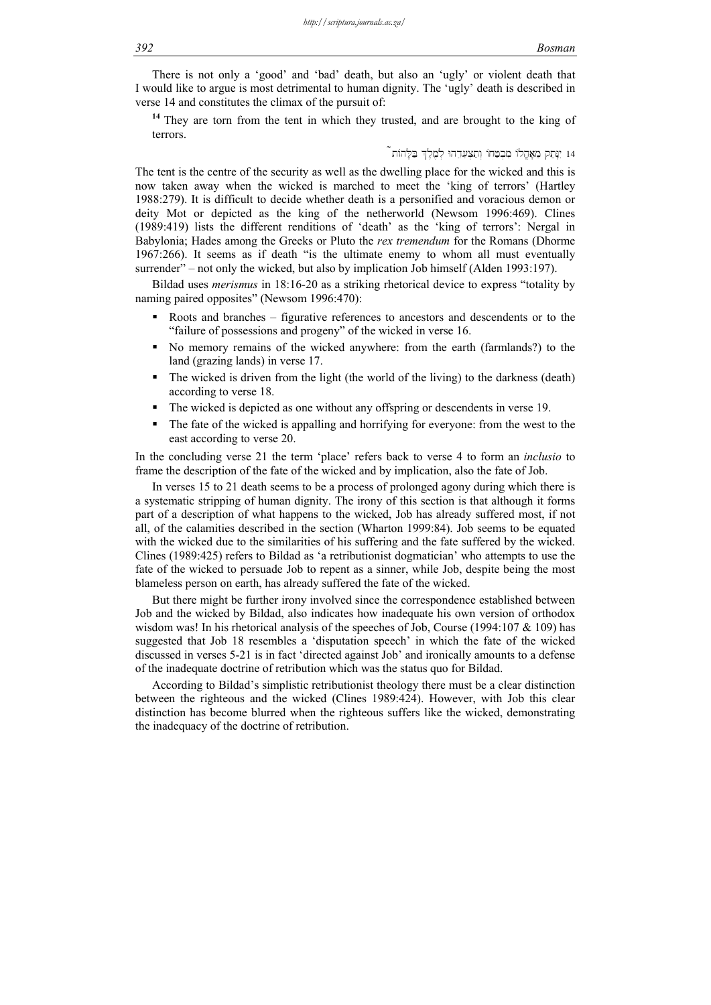There is not only a 'good' and 'bad' death, but also an 'ugly' or violent death that I would like to argue is most detrimental to human dignity. The 'ugly' death is described in verse 14 and constitutes the climax of the pursuit of:

**<sup>14</sup>**They are torn from the tent in which they trusted, and are brought to the king of terrors.

 $\tilde{\phantom{a}}$ ו ינתק מאַהַלוֹ מבְטֵחוֹ וְתַצְעדהוּ לְמֵלֶךְ בַּלֶהוֹת  $\phantom{a}$ 

The tent is the centre of the security as well as the dwelling place for the wicked and this is now taken away when the wicked is marched to meet the 'king of terrors' (Hartley 1988:279). It is difficult to decide whether death is a personified and voracious demon or deity Mot or depicted as the king of the netherworld (Newsom 1996:469). Clines (1989:419) lists the different renditions of 'death' as the 'king of terrors': Nergal in Babylonia; Hades among the Greeks or Pluto the *rex tremendum* for the Romans (Dhorme 1967:266). It seems as if death "is the ultimate enemy to whom all must eventually surrender" – not only the wicked, but also by implication Job himself (Alden 1993:197).

Bildad uses *merismus* in 18:16-20 as a striking rhetorical device to express "totality by naming paired opposites" (Newsom 1996:470):

- Roots and branches figurative references to ancestors and descendents or to the "failure of possessions and progeny" of the wicked in verse 16.
- No memory remains of the wicked anywhere: from the earth (farmlands?) to the land (grazing lands) in verse 17.
- The wicked is driven from the light (the world of the living) to the darkness (death) according to verse 18.
- The wicked is depicted as one without any offspring or descendents in verse 19.
- The fate of the wicked is appalling and horrifying for everyone: from the west to the east according to verse 20.

In the concluding verse 21 the term 'place' refers back to verse 4 to form an *inclusio* to frame the description of the fate of the wicked and by implication, also the fate of Job.

In verses 15 to 21 death seems to be a process of prolonged agony during which there is a systematic stripping of human dignity. The irony of this section is that although it forms part of a description of what happens to the wicked, Job has already suffered most, if not all, of the calamities described in the section (Wharton 1999:84). Job seems to be equated with the wicked due to the similarities of his suffering and the fate suffered by the wicked. Clines (1989:425) refers to Bildad as 'a retributionist dogmatician' who attempts to use the fate of the wicked to persuade Job to repent as a sinner, while Job, despite being the most blameless person on earth, has already suffered the fate of the wicked.

But there might be further irony involved since the correspondence established between Job and the wicked by Bildad, also indicates how inadequate his own version of orthodox wisdom was! In his rhetorical analysis of the speeches of Job, Course (1994:107  $&$  109) has suggested that Job 18 resembles a 'disputation speech' in which the fate of the wicked discussed in verses 5-21 is in fact 'directed against Job' and ironically amounts to a defense of the inadequate doctrine of retribution which was the status quo for Bildad.

According to Bildad's simplistic retributionist theology there must be a clear distinction between the righteous and the wicked (Clines 1989:424). However, with Job this clear distinction has become blurred when the righteous suffers like the wicked, demonstrating the inadequacy of the doctrine of retribution.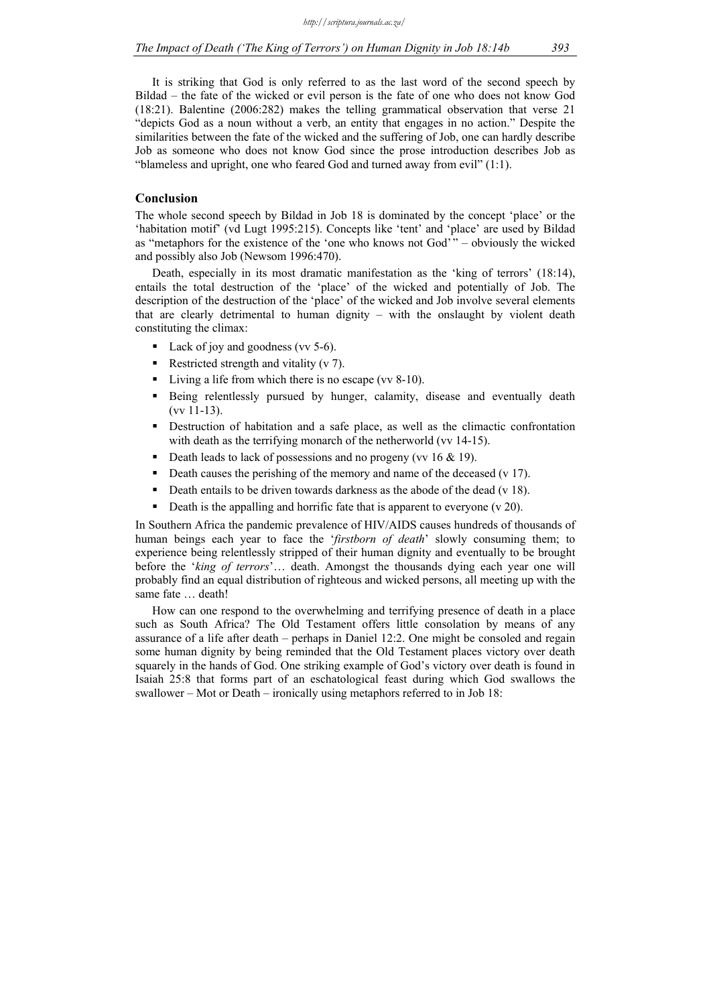It is striking that God is only referred to as the last word of the second speech by Bildad – the fate of the wicked or evil person is the fate of one who does not know God (18:21). Balentine (2006:282) makes the telling grammatical observation that verse 21 "depicts God as a noun without a verb, an entity that engages in no action." Despite the similarities between the fate of the wicked and the suffering of Job, one can hardly describe Job as someone who does not know God since the prose introduction describes Job as "blameless and upright, one who feared God and turned away from evil" (1:1).

## **Conclusion**

The whole second speech by Bildad in Job 18 is dominated by the concept 'place' or the 'habitation motif' (vd Lugt 1995:215). Concepts like 'tent' and 'place' are used by Bildad as "metaphors for the existence of the 'one who knows not God' " – obviously the wicked and possibly also Job (Newsom 1996:470).

Death, especially in its most dramatic manifestation as the 'king of terrors' (18:14), entails the total destruction of the 'place' of the wicked and potentially of Job. The description of the destruction of the 'place' of the wicked and Job involve several elements that are clearly detrimental to human dignity – with the onslaught by violent death constituting the climax:

- Lack of joy and goodness (vv 5-6).
- Restricted strength and vitality  $(v 7)$ .
- Living a life from which there is no escape (vv 8-10).
- Being relentlessly pursued by hunger, calamity, disease and eventually death (vv 11-13).
- Destruction of habitation and a safe place, as well as the climactic confrontation with death as the terrifying monarch of the netherworld (vv 14-15).
- Death leads to lack of possessions and no progeny (vv  $16 \& 19$ ).
- Death causes the perishing of the memory and name of the deceased (v 17).
- Death entails to be driven towards darkness as the abode of the dead (v 18).
- Death is the appalling and horrific fate that is apparent to everyone (v 20).

In Southern Africa the pandemic prevalence of HIV/AIDS causes hundreds of thousands of human beings each year to face the '*firstborn of death*' slowly consuming them; to experience being relentlessly stripped of their human dignity and eventually to be brought before the '*king of terrors*'… death. Amongst the thousands dying each year one will probably find an equal distribution of righteous and wicked persons, all meeting up with the same fate ... death!

How can one respond to the overwhelming and terrifying presence of death in a place such as South Africa? The Old Testament offers little consolation by means of any assurance of a life after death – perhaps in Daniel 12:2. One might be consoled and regain some human dignity by being reminded that the Old Testament places victory over death squarely in the hands of God. One striking example of God's victory over death is found in Isaiah 25:8 that forms part of an eschatological feast during which God swallows the swallower – Mot or Death – ironically using metaphors referred to in Job 18: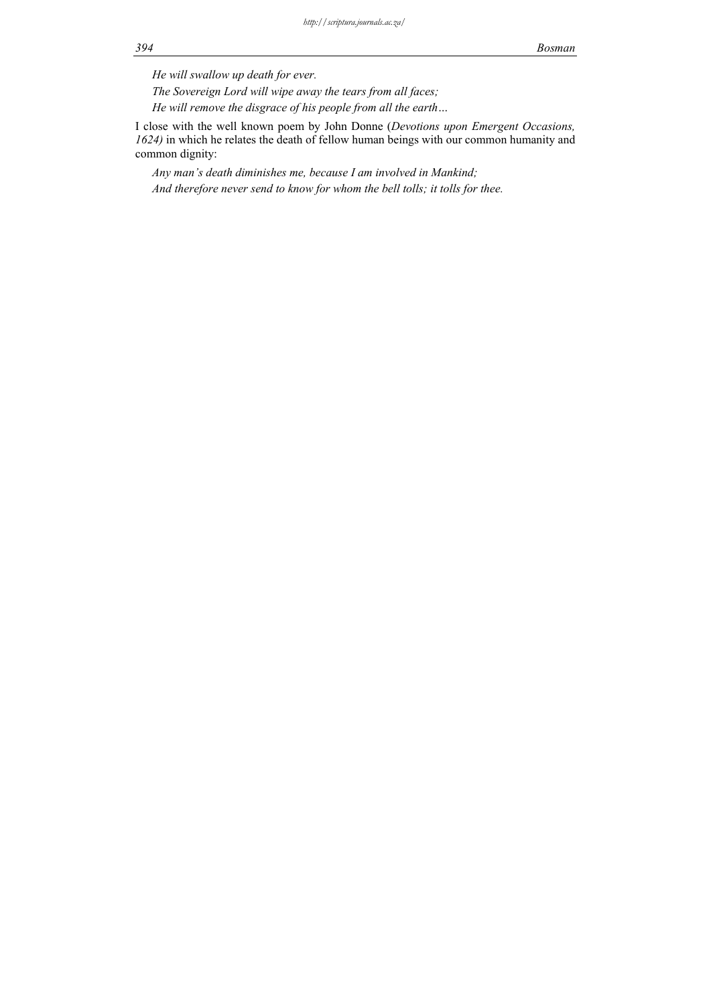*He will swallow up death for ever.* 

*The Sovereign Lord will wipe away the tears from all faces;* 

*He will remove the disgrace of his people from all the earth…* 

I close with the well known poem by John Donne (*Devotions upon Emergent Occasions, 1624)* in which he relates the death of fellow human beings with our common humanity and common dignity:

*Any man's death diminishes me, because I am involved in Mankind;* 

*And therefore never send to know for whom the bell tolls; it tolls for thee.*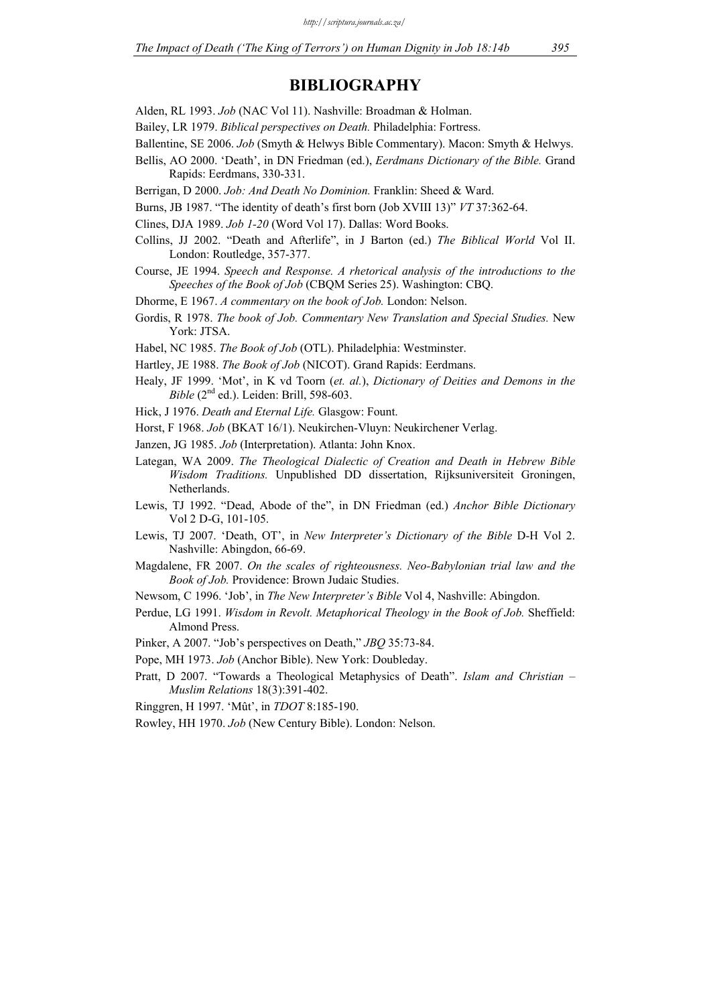## **BIBLIOGRAPHY**

- Alden, RL 1993. *Job* (NAC Vol 11). Nashville: Broadman & Holman.
- Bailey, LR 1979. *Biblical perspectives on Death.* Philadelphia: Fortress.
- Ballentine, SE 2006. *Job* (Smyth & Helwys Bible Commentary). Macon: Smyth & Helwys.
- Bellis, AO 2000. 'Death', in DN Friedman (ed.), *Eerdmans Dictionary of the Bible.* Grand Rapids: Eerdmans, 330-331.
- Berrigan, D 2000. *Job: And Death No Dominion.* Franklin: Sheed & Ward.
- Burns, JB 1987. "The identity of death's first born (Job XVIII 13)" *VT* 37:362-64.
- Clines, DJA 1989. *Job 1-20* (Word Vol 17). Dallas: Word Books.
- Collins, JJ 2002. "Death and Afterlife", in J Barton (ed.) *The Biblical World* Vol II. London: Routledge, 357-377.
- Course, JE 1994. *Speech and Response. A rhetorical analysis of the introductions to the Speeches of the Book of Job* (CBQM Series 25). Washington: CBQ.
- Dhorme, E 1967. *A commentary on the book of Job.* London: Nelson.
- Gordis, R 1978. *The book of Job. Commentary New Translation and Special Studies.* New York: JTSA.
- Habel, NC 1985. *The Book of Job* (OTL). Philadelphia: Westminster.
- Hartley, JE 1988. *The Book of Job* (NICOT). Grand Rapids: Eerdmans.
- Healy, JF 1999. 'Mot', in K vd Toorn (*et. al.*), *Dictionary of Deities and Demons in the Bible* (2<sup>nd</sup> ed.). Leiden: Brill, 598-603.
- Hick, J 1976. *Death and Eternal Life.* Glasgow: Fount.
- Horst, F 1968. *Job* (BKAT 16/1). Neukirchen-Vluyn: Neukirchener Verlag.
- Janzen, JG 1985. *Job* (Interpretation). Atlanta: John Knox.
- Lategan, WA 2009. *The Theological Dialectic of Creation and Death in Hebrew Bible Wisdom Traditions.* Unpublished DD dissertation, Rijksuniversiteit Groningen, Netherlands.
- Lewis, TJ 1992. "Dead, Abode of the", in DN Friedman (ed.) *Anchor Bible Dictionary*  Vol 2 D-G, 101-105.
- Lewis, TJ 2007. 'Death, OT', in *New Interpreter's Dictionary of the Bible* D-H Vol 2. Nashville: Abingdon, 66-69.
- Magdalene, FR 2007. *On the scales of righteousness. Neo-Babylonian trial law and the Book of Job.* Providence: Brown Judaic Studies.
- Newsom, C 1996. 'Job', in *The New Interpreter's Bible* Vol 4, Nashville: Abingdon.
- Perdue, LG 1991. *Wisdom in Revolt. Metaphorical Theology in the Book of Job.* Sheffield: Almond Press.
- Pinker, A 2007. "Job's perspectives on Death," *JBQ* 35:73-84.
- Pope, MH 1973. *Job* (Anchor Bible). New York: Doubleday.
- Pratt, D 2007. "Towards a Theological Metaphysics of Death". *Islam and Christian Muslim Relations* 18(3):391-402.
- Ringgren, H 1997. 'Mût', in *TDOT* 8:185-190.
- Rowley, HH 1970. *Job* (New Century Bible). London: Nelson.